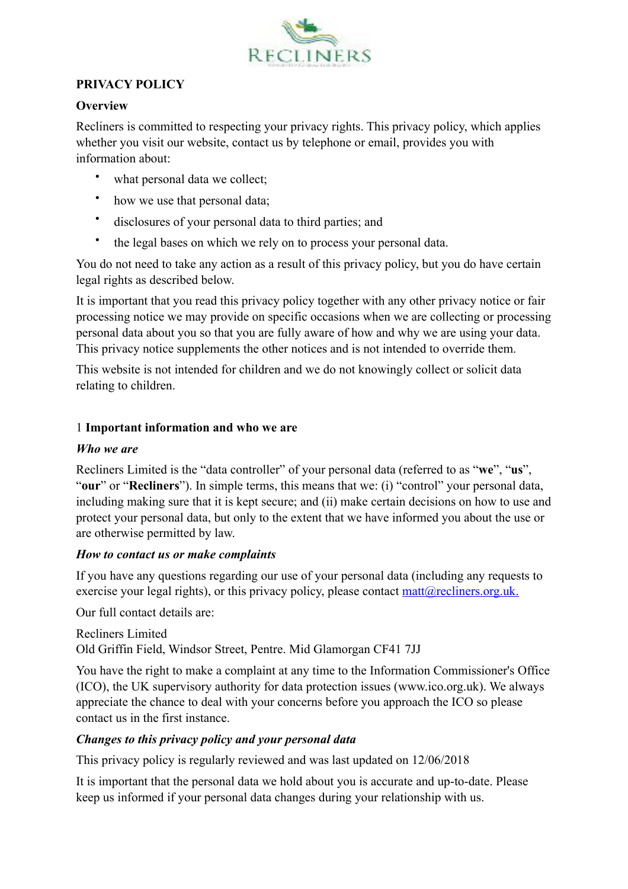

#### **PRIVACY POLICY**

#### **Overview**

Recliners is committed to respecting your privacy rights. This privacy policy, which applies whether you visit our website, contact us by telephone or email, provides you with information about:

- what personal data we collect;
- how we use that personal data;
- disclosures of your personal data to third parties; and
- the legal bases on which we rely on to process your personal data.

You do not need to take any action as a result of this privacy policy, but you do have certain legal rights as described below.

It is important that you read this privacy policy together with any other privacy notice or fair processing notice we may provide on specific occasions when we are collecting or processing personal data about you so that you are fully aware of how and why we are using your data. This privacy notice supplements the other notices and is not intended to override them.

This website is not intended for children and we do not knowingly collect or solicit data relating to children.

# 1 **Important information and who we are**

#### *Who we are*

Recliners Limited is the "data controller" of your personal data (referred to as "**we**", "**us**", "**our**" or "**Recliners**"). In simple terms, this means that we: (i) "control" your personal data, including making sure that it is kept secure; and (ii) make certain decisions on how to use and protect your personal data, but only to the extent that we have informed you about the use or are otherwise permitted by law.

# *How to contact us or make complaints*

If you have any questions regarding our use of your personal data (including any requests to exercise your legal rights), or this privacy policy, please contact  $\frac{matrix(Q)}{reclines.org.uk}$ .

Our full contact details are:

Recliners Limited Old Griffin Field, Windsor Street, Pentre. Mid Glamorgan CF41 7JJ

You have the right to make a complaint at any time to the Information Commissioner's Office (ICO), the UK supervisory authority for data protection issues (www.ico.org.uk). We always appreciate the chance to deal with your concerns before you approach the ICO so please contact us in the first instance.

# *Changes to this privacy policy and your personal data*

This privacy policy is regularly reviewed and was last updated on 12/06/2018

It is important that the personal data we hold about you is accurate and up-to-date. Please keep us informed if your personal data changes during your relationship with us.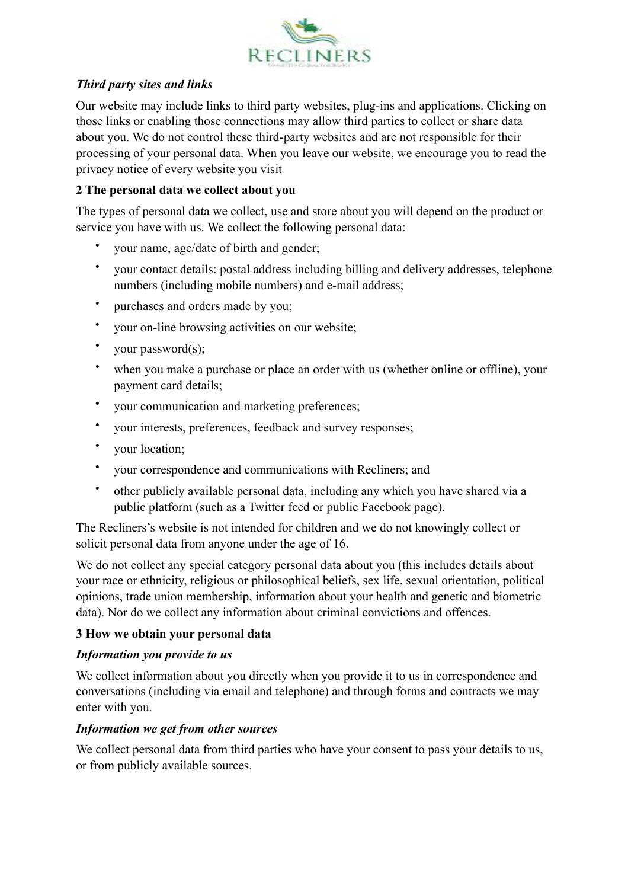

# *Third party sites and links*

Our website may include links to third party websites, plug-ins and applications. Clicking on those links or enabling those connections may allow third parties to collect or share data about you. We do not control these third-party websites and are not responsible for their processing of your personal data. When you leave our website, we encourage you to read the privacy notice of every website you visit

# **2 The personal data we collect about you**

The types of personal data we collect, use and store about you will depend on the product or service you have with us. We collect the following personal data:

- your name, age/date of birth and gender;
- your contact details: postal address including billing and delivery addresses, telephone numbers (including mobile numbers) and e-mail address;
- purchases and orders made by you;
- your on-line browsing activities on our website;
- your password(s);
- when you make a purchase or place an order with us (whether online or offline), your payment card details;
- your communication and marketing preferences;
- your interests, preferences, feedback and survey responses;
- your location;
- your correspondence and communications with Recliners; and
- other publicly available personal data, including any which you have shared via a public platform (such as a Twitter feed or public Facebook page).

The Recliners's website is not intended for children and we do not knowingly collect or solicit personal data from anyone under the age of 16.

We do not collect any special category personal data about you (this includes details about your race or ethnicity, religious or philosophical beliefs, sex life, sexual orientation, political opinions, trade union membership, information about your health and genetic and biometric data). Nor do we collect any information about criminal convictions and offences.

# **3 How we obtain your personal data**

# *Information you provide to us*

We collect information about you directly when you provide it to us in correspondence and conversations (including via email and telephone) and through forms and contracts we may enter with you.

# *Information we get from other sources*

We collect personal data from third parties who have your consent to pass your details to us, or from publicly available sources.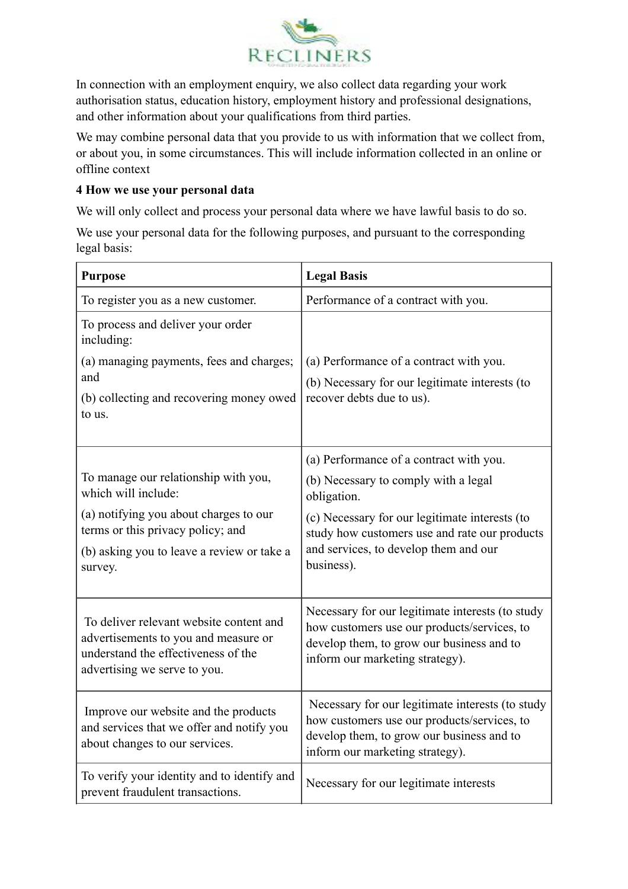

In connection with an employment enquiry, we also collect data regarding your work authorisation status, education history, employment history and professional designations, and other information about your qualifications from third parties.

We may combine personal data that you provide to us with information that we collect from, or about you, in some circumstances. This will include information collected in an online or offline context

#### **4 How we use your personal data**

We will only collect and process your personal data where we have lawful basis to do so.

We use your personal data for the following purposes, and pursuant to the corresponding legal basis:

| <b>Purpose</b>                                                                                                                                         | <b>Legal Basis</b>                                                                                                                                                              |
|--------------------------------------------------------------------------------------------------------------------------------------------------------|---------------------------------------------------------------------------------------------------------------------------------------------------------------------------------|
| To register you as a new customer.                                                                                                                     | Performance of a contract with you.                                                                                                                                             |
| To process and deliver your order<br>including:                                                                                                        |                                                                                                                                                                                 |
| (a) managing payments, fees and charges;<br>and                                                                                                        | (a) Performance of a contract with you.<br>(b) Necessary for our legitimate interests (to                                                                                       |
| (b) collecting and recovering money owed<br>to us.                                                                                                     | recover debts due to us).                                                                                                                                                       |
|                                                                                                                                                        | (a) Performance of a contract with you.                                                                                                                                         |
| To manage our relationship with you,<br>which will include:                                                                                            | (b) Necessary to comply with a legal<br>obligation.                                                                                                                             |
| (a) notifying you about charges to our<br>terms or this privacy policy; and                                                                            | (c) Necessary for our legitimate interests (to<br>study how customers use and rate our products                                                                                 |
| (b) asking you to leave a review or take a<br>survey.                                                                                                  | and services, to develop them and our<br>business).                                                                                                                             |
| To deliver relevant website content and<br>advertisements to you and measure or<br>understand the effectiveness of the<br>advertising we serve to you. | Necessary for our legitimate interests (to study<br>how customers use our products/services, to<br>develop them, to grow our business and to<br>inform our marketing strategy). |
| Improve our website and the products<br>and services that we offer and notify you<br>about changes to our services.                                    | Necessary for our legitimate interests (to study<br>how customers use our products/services, to<br>develop them, to grow our business and to<br>inform our marketing strategy). |
| To verify your identity and to identify and<br>prevent fraudulent transactions.                                                                        | Necessary for our legitimate interests                                                                                                                                          |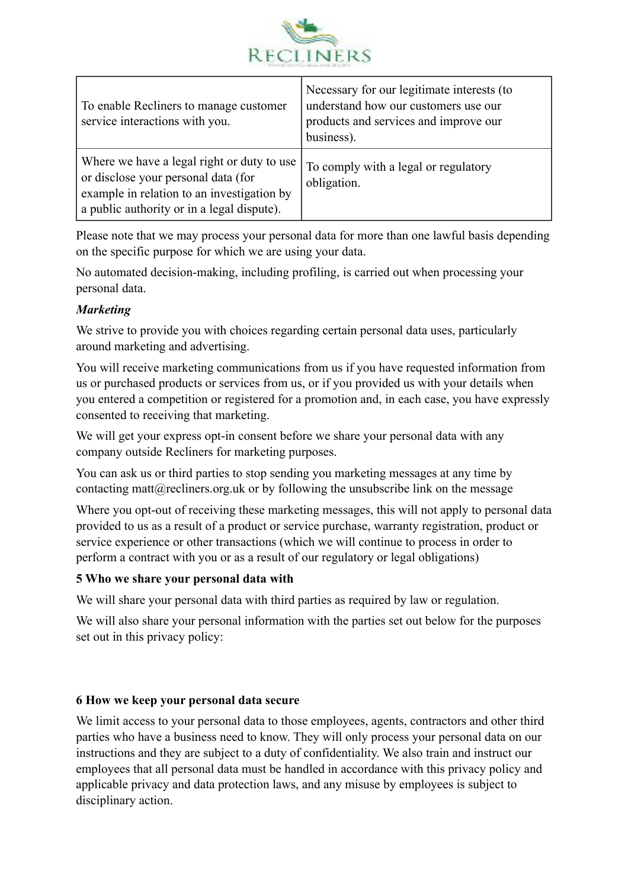

| To enable Recliners to manage customer<br>service interactions with you.                                                                                                      | Necessary for our legitimate interests (to<br>understand how our customers use our<br>products and services and improve our<br>business). |
|-------------------------------------------------------------------------------------------------------------------------------------------------------------------------------|-------------------------------------------------------------------------------------------------------------------------------------------|
| Where we have a legal right or duty to use<br>or disclose your personal data (for<br>example in relation to an investigation by<br>a public authority or in a legal dispute). | To comply with a legal or regulatory<br>obligation.                                                                                       |

Please note that we may process your personal data for more than one lawful basis depending on the specific purpose for which we are using your data.

No automated decision-making, including profiling, is carried out when processing your personal data.

# *Marketing*

We strive to provide you with choices regarding certain personal data uses, particularly around marketing and advertising.

You will receive marketing communications from us if you have requested information from us or purchased products or services from us, or if you provided us with your details when you entered a competition or registered for a promotion and, in each case, you have expressly consented to receiving that marketing.

We will get your express opt-in consent before we share your personal data with any company outside Recliners for marketing purposes.

You can ask us or third parties to stop sending you marketing messages at any time by contacting matt $(a)$  recliners.org.uk or by following the unsubscribe link on the message

Where you opt-out of receiving these marketing messages, this will not apply to personal data provided to us as a result of a product or service purchase, warranty registration, product or service experience or other transactions (which we will continue to process in order to perform a contract with you or as a result of our regulatory or legal obligations)

#### **5 Who we share your personal data with**

We will share your personal data with third parties as required by law or regulation.

We will also share your personal information with the parties set out below for the purposes set out in this privacy policy:

# **6 How we keep your personal data secure**

We limit access to your personal data to those employees, agents, contractors and other third parties who have a business need to know. They will only process your personal data on our instructions and they are subject to a duty of confidentiality. We also train and instruct our employees that all personal data must be handled in accordance with this privacy policy and applicable privacy and data protection laws, and any misuse by employees is subject to disciplinary action.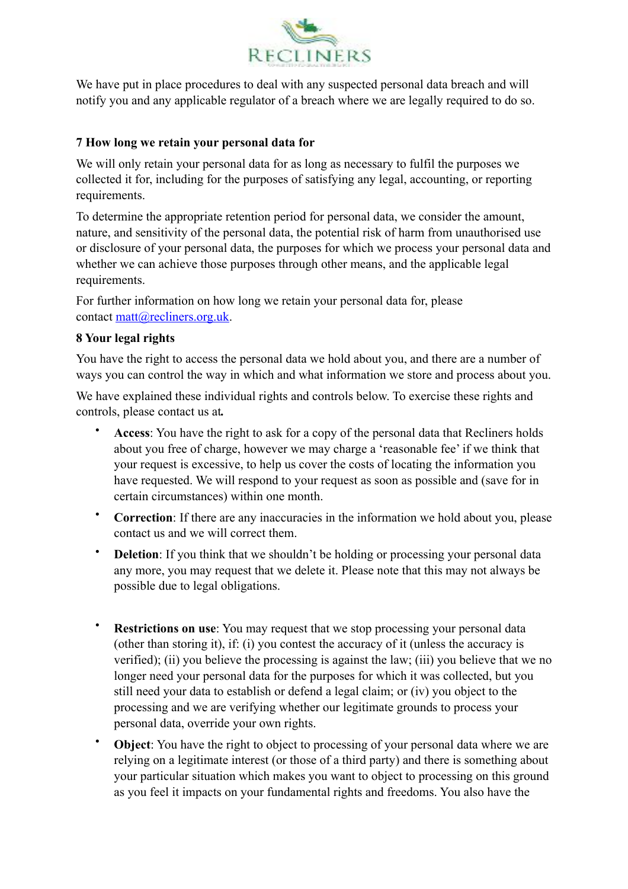

We have put in place procedures to deal with any suspected personal data breach and will notify you and any applicable regulator of a breach where we are legally required to do so.

#### **7 How long we retain your personal data for**

We will only retain your personal data for as long as necessary to fulfil the purposes we collected it for, including for the purposes of satisfying any legal, accounting, or reporting requirements.

To determine the appropriate retention period for personal data, we consider the amount, nature, and sensitivity of the personal data, the potential risk of harm from unauthorised use or disclosure of your personal data, the purposes for which we process your personal data and whether we can achieve those purposes through other means, and the applicable legal requirements.

For further information on how long we retain your personal data for, please contact [matt@recliners.org.uk](mailto:matt@recliners.org.uk).

#### **8 Your legal rights**

You have the right to access the personal data we hold about you, and there are a number of ways you can control the way in which and what information we store and process about you.

We have explained these individual rights and controls below. To exercise these rights and controls, please contact us at*.*

- **Access**: You have the right to ask for a copy of the personal data that Recliners holds about you free of charge, however we may charge a 'reasonable fee' if we think that your request is excessive, to help us cover the costs of locating the information you have requested. We will respond to your request as soon as possible and (save for in certain circumstances) within one month.
- **Correction**: If there are any inaccuracies in the information we hold about you, please contact us and we will correct them.
- **Deletion**: If you think that we shouldn't be holding or processing your personal data any more, you may request that we delete it. Please note that this may not always be possible due to legal obligations.
- **Restrictions on use**: You may request that we stop processing your personal data (other than storing it), if: (i) you contest the accuracy of it (unless the accuracy is verified); (ii) you believe the processing is against the law; (iii) you believe that we no longer need your personal data for the purposes for which it was collected, but you still need your data to establish or defend a legal claim; or (iv) you object to the processing and we are verifying whether our legitimate grounds to process your personal data, override your own rights.
- **Object**: You have the right to object to processing of your personal data where we are relying on a legitimate interest (or those of a third party) and there is something about your particular situation which makes you want to object to processing on this ground as you feel it impacts on your fundamental rights and freedoms. You also have the